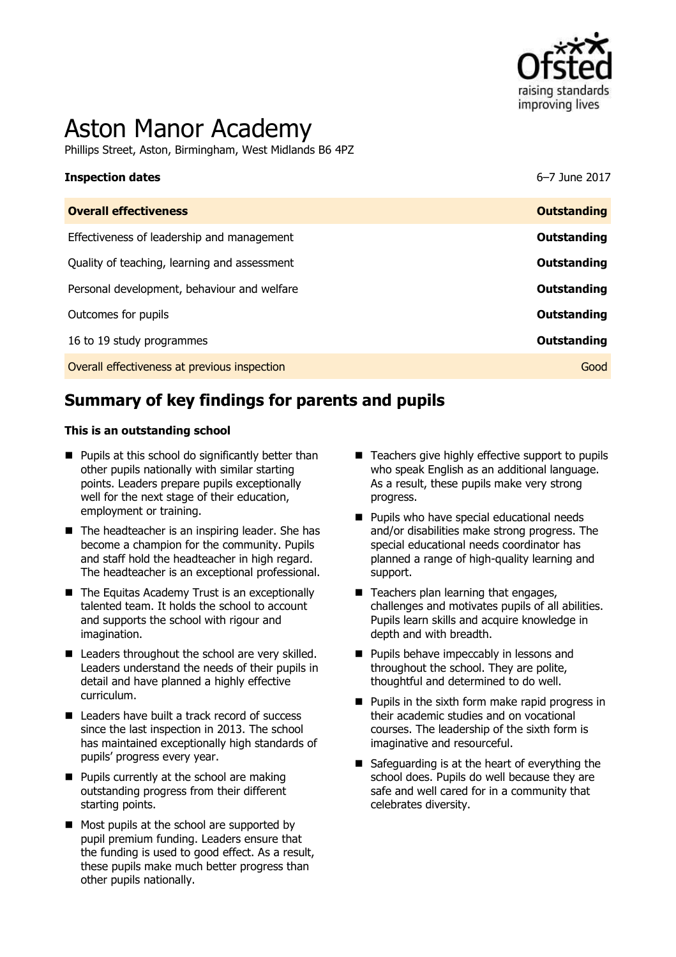

# Aston Manor Academy

Phillips Street, Aston, Birmingham, West Midlands B6 4PZ

# **Inspection dates** 6–7 June 2017

| <b>Overall effectiveness</b>                 | <b>Outstanding</b> |
|----------------------------------------------|--------------------|
| Effectiveness of leadership and management   | <b>Outstanding</b> |
| Quality of teaching, learning and assessment | Outstanding        |
| Personal development, behaviour and welfare  | <b>Outstanding</b> |
| Outcomes for pupils                          | <b>Outstanding</b> |
| 16 to 19 study programmes                    | <b>Outstanding</b> |
| Overall effectiveness at previous inspection | Good               |

# **Summary of key findings for parents and pupils**

#### **This is an outstanding school**

- $\blacksquare$  Pupils at this school do significantly better than other pupils nationally with similar starting points. Leaders prepare pupils exceptionally well for the next stage of their education, employment or training.
- $\blacksquare$  The headteacher is an inspiring leader. She has become a champion for the community. Pupils and staff hold the headteacher in high regard. The headteacher is an exceptional professional.
- The Equitas Academy Trust is an exceptionally talented team. It holds the school to account and supports the school with rigour and imagination.
- Leaders throughout the school are very skilled. Leaders understand the needs of their pupils in detail and have planned a highly effective curriculum.
- Leaders have built a track record of success since the last inspection in 2013. The school has maintained exceptionally high standards of pupils' progress every year.
- **Pupils currently at the school are making** outstanding progress from their different starting points.
- Most pupils at the school are supported by pupil premium funding. Leaders ensure that the funding is used to good effect. As a result, these pupils make much better progress than other pupils nationally.
- Teachers give highly effective support to pupils who speak English as an additional language. As a result, these pupils make very strong progress.
- **Pupils who have special educational needs** and/or disabilities make strong progress. The special educational needs coordinator has planned a range of high-quality learning and support.
- Teachers plan learning that engages, challenges and motivates pupils of all abilities. Pupils learn skills and acquire knowledge in depth and with breadth.
- **Pupils behave impeccably in lessons and** throughout the school. They are polite, thoughtful and determined to do well.
- $\blacksquare$  Pupils in the sixth form make rapid progress in their academic studies and on vocational courses. The leadership of the sixth form is imaginative and resourceful.
- Safeguarding is at the heart of everything the school does. Pupils do well because they are safe and well cared for in a community that celebrates diversity.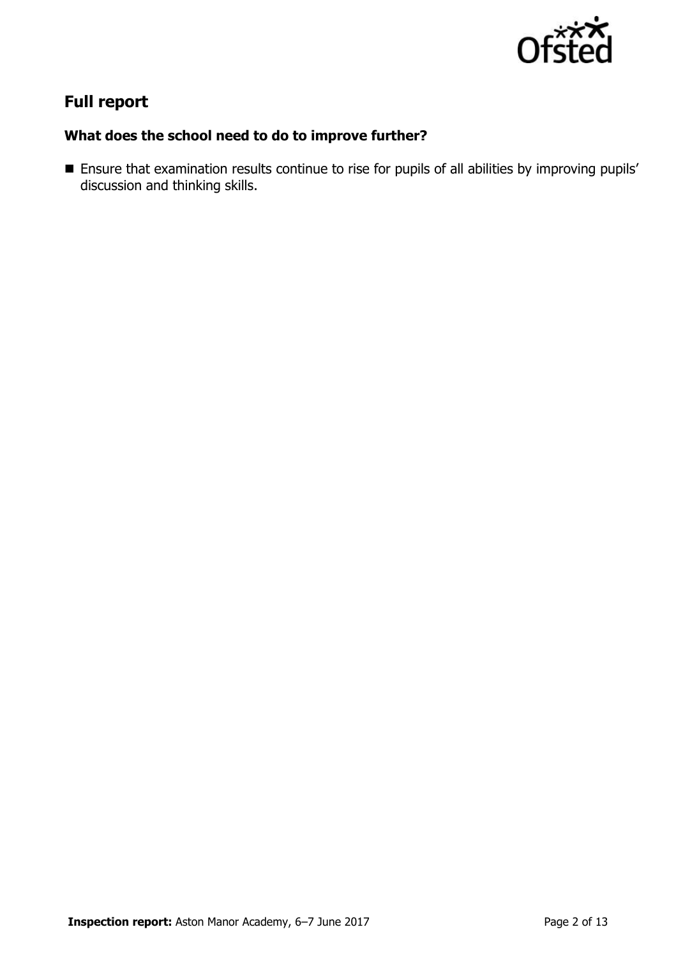

# **Full report**

### **What does the school need to do to improve further?**

 Ensure that examination results continue to rise for pupils of all abilities by improving pupils' discussion and thinking skills.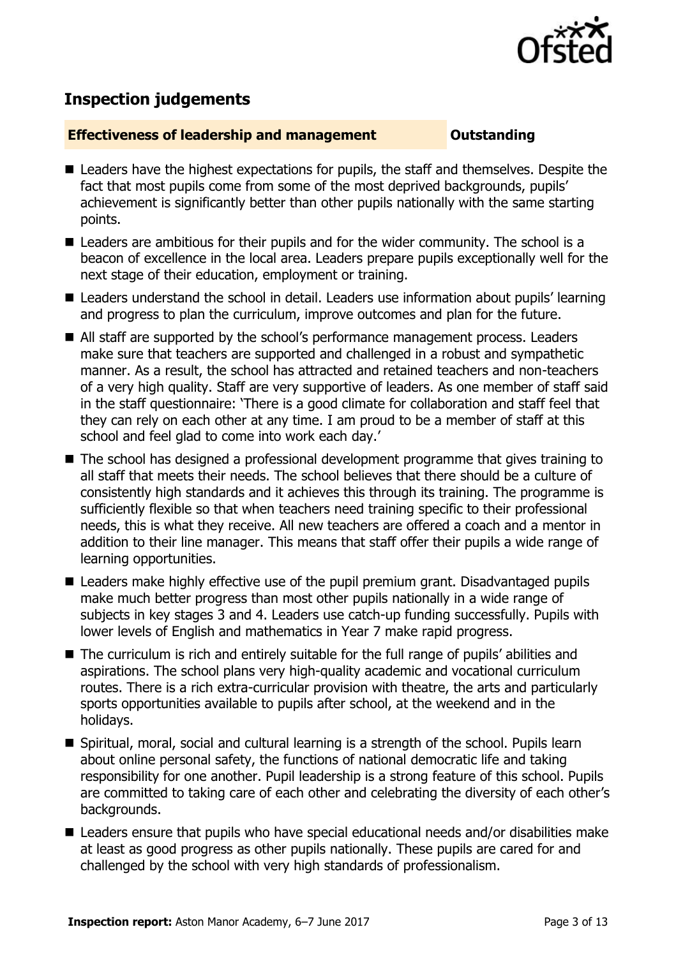

# **Inspection judgements**

#### **Effectiveness of leadership and management COULDER COULDER OUTSTANDING**

- Leaders have the highest expectations for pupils, the staff and themselves. Despite the fact that most pupils come from some of the most deprived backgrounds, pupils' achievement is significantly better than other pupils nationally with the same starting points.
- Leaders are ambitious for their pupils and for the wider community. The school is a beacon of excellence in the local area. Leaders prepare pupils exceptionally well for the next stage of their education, employment or training.
- Leaders understand the school in detail. Leaders use information about pupils' learning and progress to plan the curriculum, improve outcomes and plan for the future.
- All staff are supported by the school's performance management process. Leaders make sure that teachers are supported and challenged in a robust and sympathetic manner. As a result, the school has attracted and retained teachers and non-teachers of a very high quality. Staff are very supportive of leaders. As one member of staff said in the staff questionnaire: 'There is a good climate for collaboration and staff feel that they can rely on each other at any time. I am proud to be a member of staff at this school and feel glad to come into work each day.'
- The school has designed a professional development programme that gives training to all staff that meets their needs. The school believes that there should be a culture of consistently high standards and it achieves this through its training. The programme is sufficiently flexible so that when teachers need training specific to their professional needs, this is what they receive. All new teachers are offered a coach and a mentor in addition to their line manager. This means that staff offer their pupils a wide range of learning opportunities.
- Leaders make highly effective use of the pupil premium grant. Disadvantaged pupils make much better progress than most other pupils nationally in a wide range of subjects in key stages 3 and 4. Leaders use catch-up funding successfully. Pupils with lower levels of English and mathematics in Year 7 make rapid progress.
- The curriculum is rich and entirely suitable for the full range of pupils' abilities and aspirations. The school plans very high-quality academic and vocational curriculum routes. There is a rich extra-curricular provision with theatre, the arts and particularly sports opportunities available to pupils after school, at the weekend and in the holidays.
- Spiritual, moral, social and cultural learning is a strength of the school. Pupils learn about online personal safety, the functions of national democratic life and taking responsibility for one another. Pupil leadership is a strong feature of this school. Pupils are committed to taking care of each other and celebrating the diversity of each other's backgrounds.
- Leaders ensure that pupils who have special educational needs and/or disabilities make at least as good progress as other pupils nationally. These pupils are cared for and challenged by the school with very high standards of professionalism.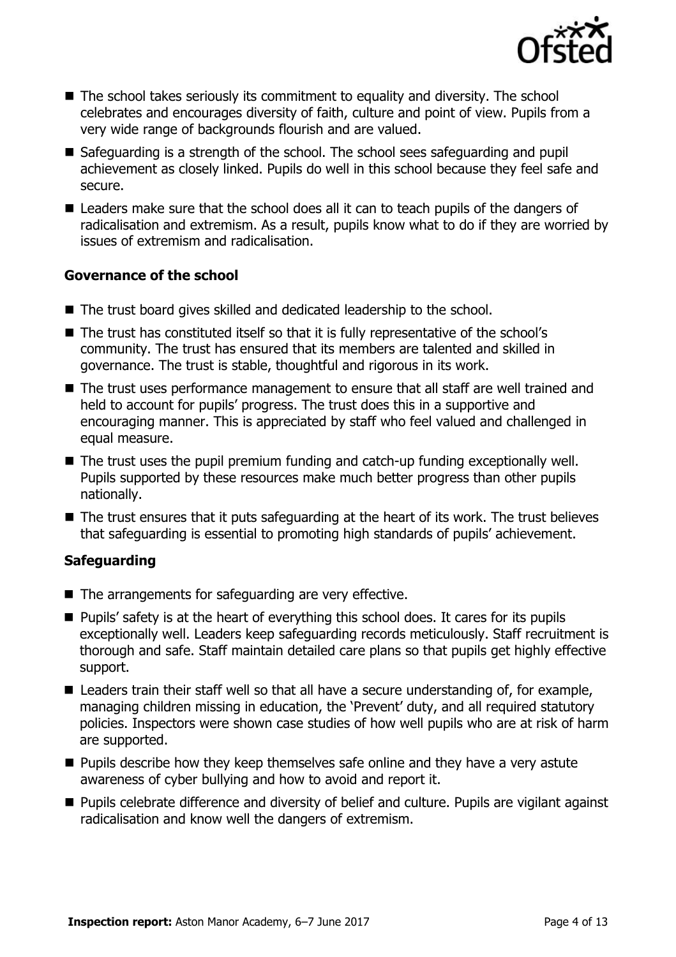

- The school takes seriously its commitment to equality and diversity. The school celebrates and encourages diversity of faith, culture and point of view. Pupils from a very wide range of backgrounds flourish and are valued.
- Safeguarding is a strength of the school. The school sees safeguarding and pupil achievement as closely linked. Pupils do well in this school because they feel safe and secure.
- Leaders make sure that the school does all it can to teach pupils of the dangers of radicalisation and extremism. As a result, pupils know what to do if they are worried by issues of extremism and radicalisation.

#### **Governance of the school**

- The trust board gives skilled and dedicated leadership to the school.
- The trust has constituted itself so that it is fully representative of the school's community. The trust has ensured that its members are talented and skilled in governance. The trust is stable, thoughtful and rigorous in its work.
- The trust uses performance management to ensure that all staff are well trained and held to account for pupils' progress. The trust does this in a supportive and encouraging manner. This is appreciated by staff who feel valued and challenged in equal measure.
- The trust uses the pupil premium funding and catch-up funding exceptionally well. Pupils supported by these resources make much better progress than other pupils nationally.
- The trust ensures that it puts safeguarding at the heart of its work. The trust believes that safeguarding is essential to promoting high standards of pupils' achievement.

### **Safeguarding**

- $\blacksquare$  The arrangements for safeguarding are very effective.
- Pupils' safety is at the heart of everything this school does. It cares for its pupils exceptionally well. Leaders keep safeguarding records meticulously. Staff recruitment is thorough and safe. Staff maintain detailed care plans so that pupils get highly effective support.
- Leaders train their staff well so that all have a secure understanding of, for example, managing children missing in education, the 'Prevent' duty, and all required statutory policies. Inspectors were shown case studies of how well pupils who are at risk of harm are supported.
- $\blacksquare$  Pupils describe how they keep themselves safe online and they have a very astute awareness of cyber bullying and how to avoid and report it.
- **Pupils celebrate difference and diversity of belief and culture. Pupils are vigilant against** radicalisation and know well the dangers of extremism.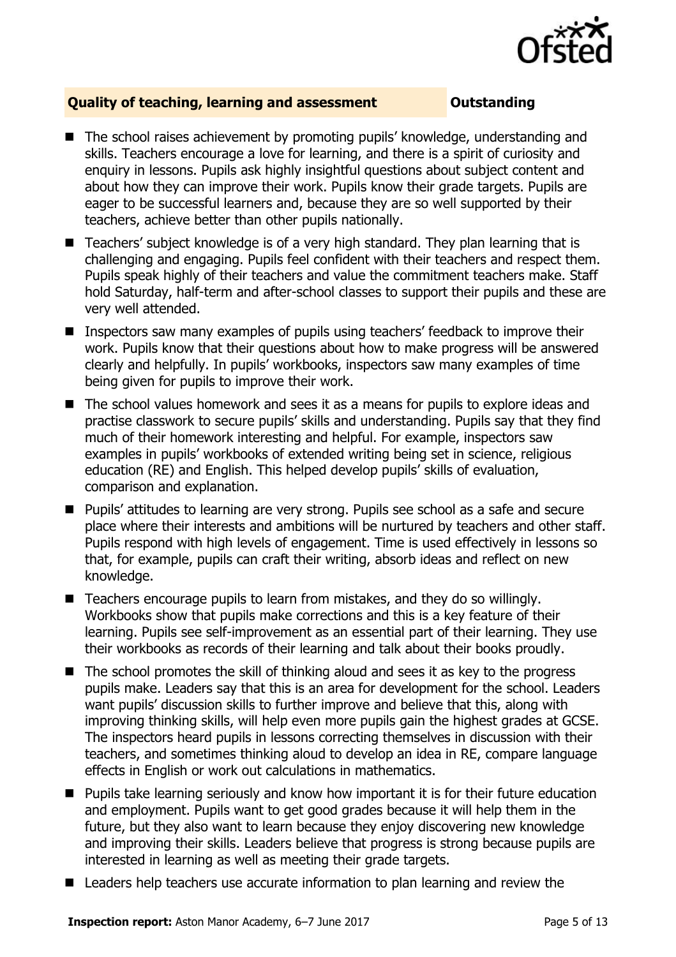

### **Quality of teaching, learning and assessment Outstanding**

- The school raises achievement by promoting pupils' knowledge, understanding and skills. Teachers encourage a love for learning, and there is a spirit of curiosity and enquiry in lessons. Pupils ask highly insightful questions about subject content and about how they can improve their work. Pupils know their grade targets. Pupils are eager to be successful learners and, because they are so well supported by their teachers, achieve better than other pupils nationally.
- Teachers' subject knowledge is of a very high standard. They plan learning that is challenging and engaging. Pupils feel confident with their teachers and respect them. Pupils speak highly of their teachers and value the commitment teachers make. Staff hold Saturday, half-term and after-school classes to support their pupils and these are very well attended.
- **If** Inspectors saw many examples of pupils using teachers' feedback to improve their work. Pupils know that their questions about how to make progress will be answered clearly and helpfully. In pupils' workbooks, inspectors saw many examples of time being given for pupils to improve their work.
- The school values homework and sees it as a means for pupils to explore ideas and practise classwork to secure pupils' skills and understanding. Pupils say that they find much of their homework interesting and helpful. For example, inspectors saw examples in pupils' workbooks of extended writing being set in science, religious education (RE) and English. This helped develop pupils' skills of evaluation, comparison and explanation.
- Pupils' attitudes to learning are very strong. Pupils see school as a safe and secure place where their interests and ambitions will be nurtured by teachers and other staff. Pupils respond with high levels of engagement. Time is used effectively in lessons so that, for example, pupils can craft their writing, absorb ideas and reflect on new knowledge.
- Teachers encourage pupils to learn from mistakes, and they do so willingly. Workbooks show that pupils make corrections and this is a key feature of their learning. Pupils see self-improvement as an essential part of their learning. They use their workbooks as records of their learning and talk about their books proudly.
- $\blacksquare$  The school promotes the skill of thinking aloud and sees it as key to the progress pupils make. Leaders say that this is an area for development for the school. Leaders want pupils' discussion skills to further improve and believe that this, along with improving thinking skills, will help even more pupils gain the highest grades at GCSE. The inspectors heard pupils in lessons correcting themselves in discussion with their teachers, and sometimes thinking aloud to develop an idea in RE, compare language effects in English or work out calculations in mathematics.
- **Pupils take learning seriously and know how important it is for their future education** and employment. Pupils want to get good grades because it will help them in the future, but they also want to learn because they enjoy discovering new knowledge and improving their skills. Leaders believe that progress is strong because pupils are interested in learning as well as meeting their grade targets.
- Leaders help teachers use accurate information to plan learning and review the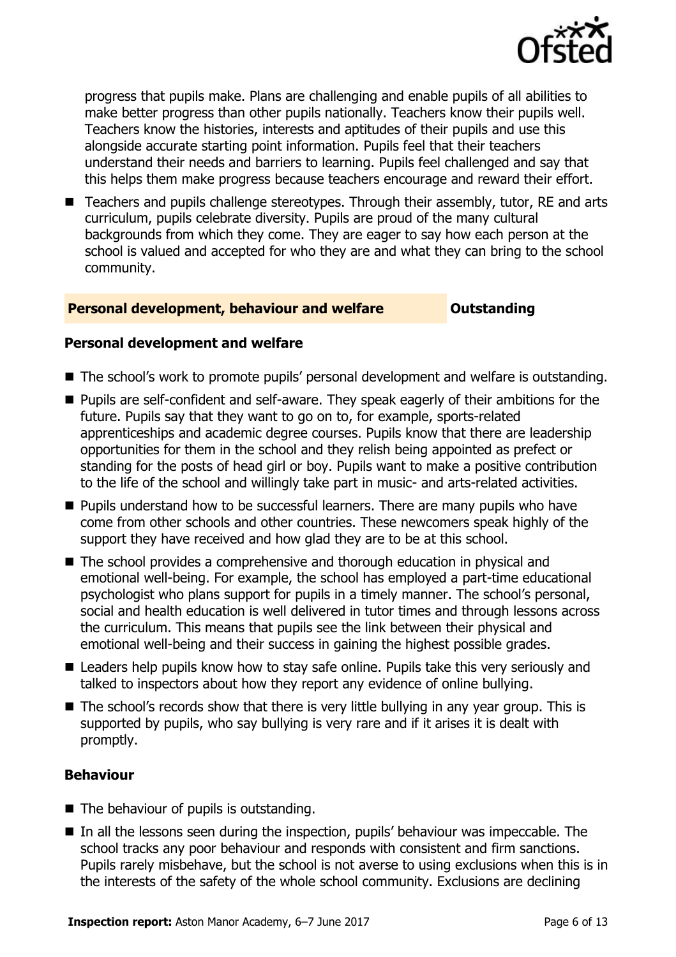

progress that pupils make. Plans are challenging and enable pupils of all abilities to make better progress than other pupils nationally. Teachers know their pupils well. Teachers know the histories, interests and aptitudes of their pupils and use this alongside accurate starting point information. Pupils feel that their teachers understand their needs and barriers to learning. Pupils feel challenged and say that this helps them make progress because teachers encourage and reward their effort.

■ Teachers and pupils challenge stereotypes. Through their assembly, tutor, RE and arts curriculum, pupils celebrate diversity. Pupils are proud of the many cultural backgrounds from which they come. They are eager to say how each person at the school is valued and accepted for who they are and what they can bring to the school community.

#### **Personal development, behaviour and welfare <b>COULTS** Outstanding

#### **Personal development and welfare**

- The school's work to promote pupils' personal development and welfare is outstanding.
- Pupils are self-confident and self-aware. They speak eagerly of their ambitions for the future. Pupils say that they want to go on to, for example, sports-related apprenticeships and academic degree courses. Pupils know that there are leadership opportunities for them in the school and they relish being appointed as prefect or standing for the posts of head girl or boy. Pupils want to make a positive contribution to the life of the school and willingly take part in music- and arts-related activities.
- **Pupils understand how to be successful learners. There are many pupils who have** come from other schools and other countries. These newcomers speak highly of the support they have received and how glad they are to be at this school.
- The school provides a comprehensive and thorough education in physical and emotional well-being. For example, the school has employed a part-time educational psychologist who plans support for pupils in a timely manner. The school's personal, social and health education is well delivered in tutor times and through lessons across the curriculum. This means that pupils see the link between their physical and emotional well-being and their success in gaining the highest possible grades.
- Leaders help pupils know how to stay safe online. Pupils take this very seriously and talked to inspectors about how they report any evidence of online bullying.
- The school's records show that there is very little bullying in any year group. This is supported by pupils, who say bullying is very rare and if it arises it is dealt with promptly.

### **Behaviour**

- $\blacksquare$  The behaviour of pupils is outstanding.
- In all the lessons seen during the inspection, pupils' behaviour was impeccable. The school tracks any poor behaviour and responds with consistent and firm sanctions. Pupils rarely misbehave, but the school is not averse to using exclusions when this is in the interests of the safety of the whole school community. Exclusions are declining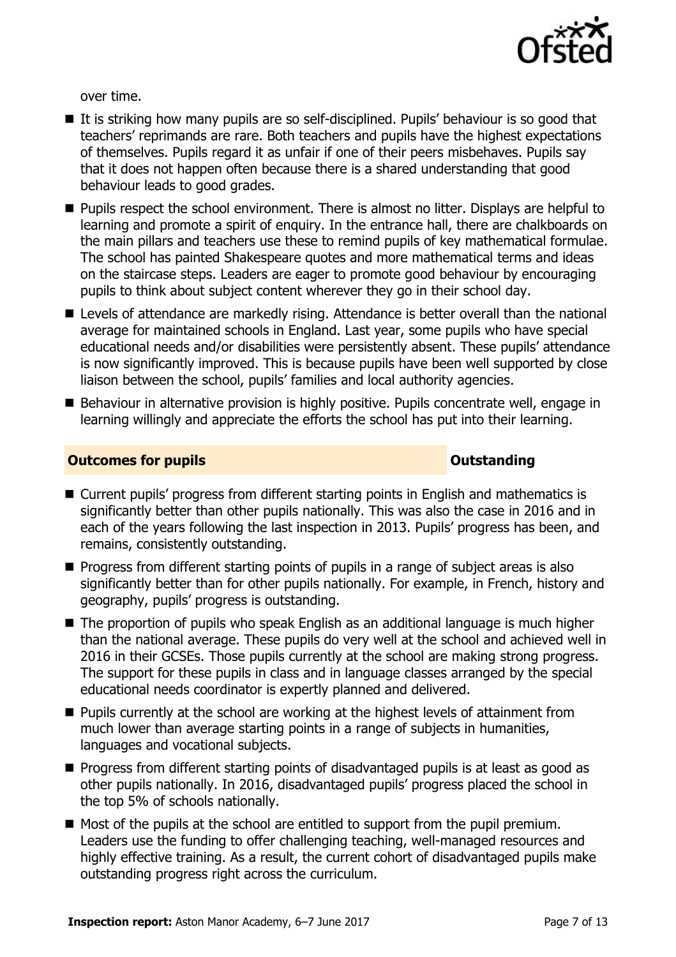

over time.

- If it is striking how many pupils are so self-disciplined. Pupils' behaviour is so good that teachers' reprimands are rare. Both teachers and pupils have the highest expectations of themselves. Pupils regard it as unfair if one of their peers misbehaves. Pupils say that it does not happen often because there is a shared understanding that good behaviour leads to good grades.
- **Pupils respect the school environment. There is almost no litter. Displays are helpful to** learning and promote a spirit of enquiry. In the entrance hall, there are chalkboards on the main pillars and teachers use these to remind pupils of key mathematical formulae. The school has painted Shakespeare quotes and more mathematical terms and ideas on the staircase steps. Leaders are eager to promote good behaviour by encouraging pupils to think about subject content wherever they go in their school day.
- Levels of attendance are markedly rising. Attendance is better overall than the national average for maintained schools in England. Last year, some pupils who have special educational needs and/or disabilities were persistently absent. These pupils' attendance is now significantly improved. This is because pupils have been well supported by close liaison between the school, pupils' families and local authority agencies.
- Behaviour in alternative provision is highly positive. Pupils concentrate well, engage in learning willingly and appreciate the efforts the school has put into their learning.

#### **Outcomes for pupils Outstanding**

- Current pupils' progress from different starting points in English and mathematics is significantly better than other pupils nationally. This was also the case in 2016 and in each of the years following the last inspection in 2013. Pupils' progress has been, and remains, consistently outstanding.
- **Progress from different starting points of pupils in a range of subject areas is also** significantly better than for other pupils nationally. For example, in French, history and geography, pupils' progress is outstanding.
- The proportion of pupils who speak English as an additional language is much higher than the national average. These pupils do very well at the school and achieved well in 2016 in their GCSEs. Those pupils currently at the school are making strong progress. The support for these pupils in class and in language classes arranged by the special educational needs coordinator is expertly planned and delivered.
- **Pupils currently at the school are working at the highest levels of attainment from** much lower than average starting points in a range of subjects in humanities, languages and vocational subjects.
- **Progress from different starting points of disadvantaged pupils is at least as good as** other pupils nationally. In 2016, disadvantaged pupils' progress placed the school in the top 5% of schools nationally.
- $\blacksquare$  Most of the pupils at the school are entitled to support from the pupil premium. Leaders use the funding to offer challenging teaching, well-managed resources and highly effective training. As a result, the current cohort of disadvantaged pupils make outstanding progress right across the curriculum.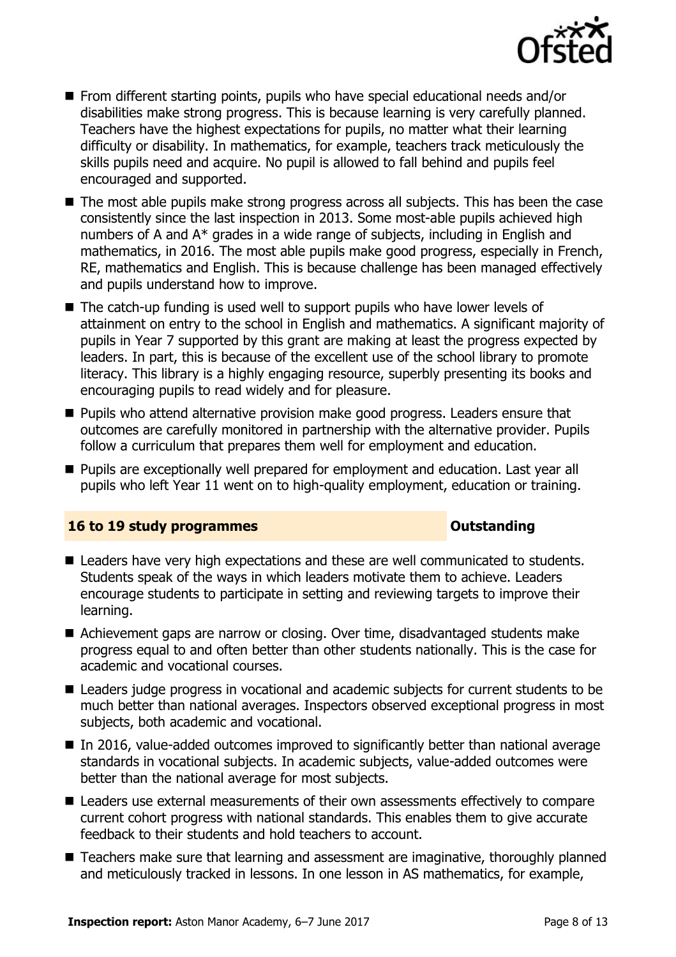

- From different starting points, pupils who have special educational needs and/or disabilities make strong progress. This is because learning is very carefully planned. Teachers have the highest expectations for pupils, no matter what their learning difficulty or disability. In mathematics, for example, teachers track meticulously the skills pupils need and acquire. No pupil is allowed to fall behind and pupils feel encouraged and supported.
- The most able pupils make strong progress across all subjects. This has been the case consistently since the last inspection in 2013. Some most-able pupils achieved high numbers of A and A\* grades in a wide range of subjects, including in English and mathematics, in 2016. The most able pupils make good progress, especially in French, RE, mathematics and English. This is because challenge has been managed effectively and pupils understand how to improve.
- The catch-up funding is used well to support pupils who have lower levels of attainment on entry to the school in English and mathematics. A significant majority of pupils in Year 7 supported by this grant are making at least the progress expected by leaders. In part, this is because of the excellent use of the school library to promote literacy. This library is a highly engaging resource, superbly presenting its books and encouraging pupils to read widely and for pleasure.
- **Pupils who attend alternative provision make good progress. Leaders ensure that** outcomes are carefully monitored in partnership with the alternative provider. Pupils follow a curriculum that prepares them well for employment and education.
- **Pupils are exceptionally well prepared for employment and education. Last year all** pupils who left Year 11 went on to high-quality employment, education or training.

#### **16 to 19 study programmes CONSTANDING CONSTANDING CONSTANDING CONSTANDING CONSTANDING CONSTANDING CONSTANDING CONSTANDING CONSTANDING CONSTANDING CONSTANDING CONSTANDING CONSTANDING CONSTANDING CONSTANDING CONSTANDING C**

- Leaders have very high expectations and these are well communicated to students. Students speak of the ways in which leaders motivate them to achieve. Leaders encourage students to participate in setting and reviewing targets to improve their learning.
- Achievement gaps are narrow or closing. Over time, disadvantaged students make progress equal to and often better than other students nationally. This is the case for academic and vocational courses.
- Leaders judge progress in vocational and academic subjects for current students to be much better than national averages. Inspectors observed exceptional progress in most subjects, both academic and vocational.
- In 2016, value-added outcomes improved to significantly better than national average standards in vocational subjects. In academic subjects, value-added outcomes were better than the national average for most subjects.
- Leaders use external measurements of their own assessments effectively to compare current cohort progress with national standards. This enables them to give accurate feedback to their students and hold teachers to account.
- **Teachers make sure that learning and assessment are imaginative, thoroughly planned** and meticulously tracked in lessons. In one lesson in AS mathematics, for example,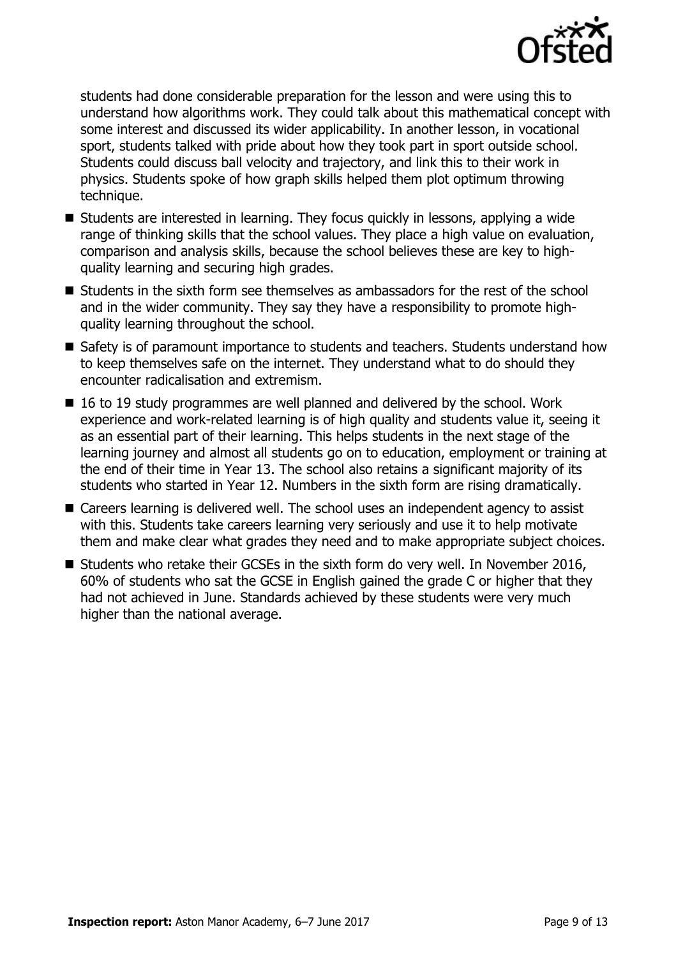

students had done considerable preparation for the lesson and were using this to understand how algorithms work. They could talk about this mathematical concept with some interest and discussed its wider applicability. In another lesson, in vocational sport, students talked with pride about how they took part in sport outside school. Students could discuss ball velocity and trajectory, and link this to their work in physics. Students spoke of how graph skills helped them plot optimum throwing technique.

- Students are interested in learning. They focus quickly in lessons, applying a wide range of thinking skills that the school values. They place a high value on evaluation, comparison and analysis skills, because the school believes these are key to highquality learning and securing high grades.
- $\blacksquare$  Students in the sixth form see themselves as ambassadors for the rest of the school and in the wider community. They say they have a responsibility to promote highquality learning throughout the school.
- **Safety is of paramount importance to students and teachers. Students understand how** to keep themselves safe on the internet. They understand what to do should they encounter radicalisation and extremism.
- 16 to 19 study programmes are well planned and delivered by the school. Work experience and work-related learning is of high quality and students value it, seeing it as an essential part of their learning. This helps students in the next stage of the learning journey and almost all students go on to education, employment or training at the end of their time in Year 13. The school also retains a significant majority of its students who started in Year 12. Numbers in the sixth form are rising dramatically.
- Careers learning is delivered well. The school uses an independent agency to assist with this. Students take careers learning very seriously and use it to help motivate them and make clear what grades they need and to make appropriate subject choices.
- Students who retake their GCSEs in the sixth form do very well. In November 2016, 60% of students who sat the GCSE in English gained the grade C or higher that they had not achieved in June. Standards achieved by these students were very much higher than the national average.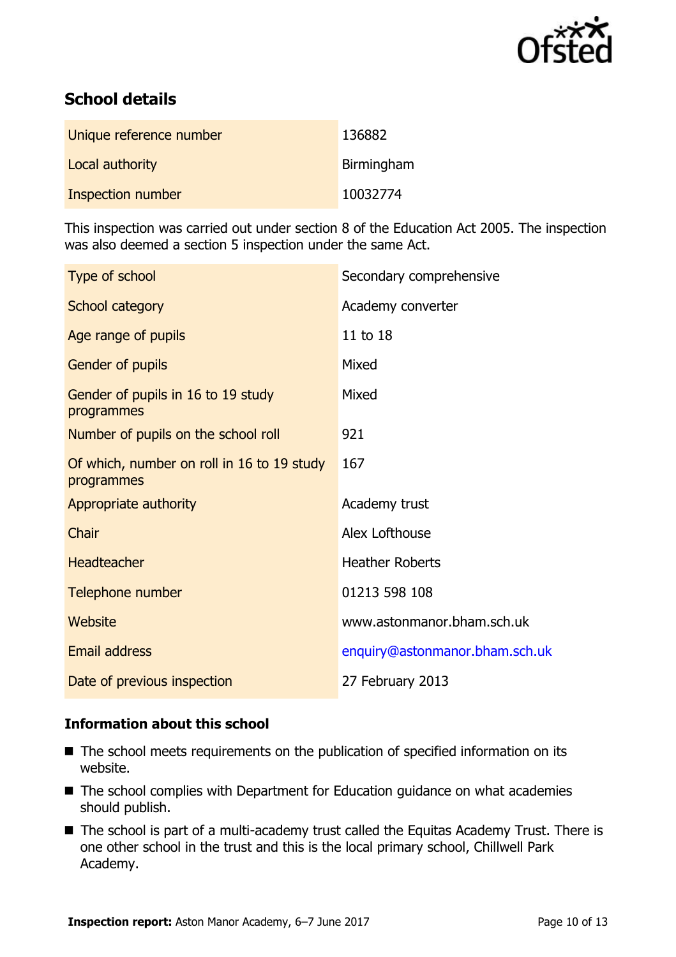

# **School details**

| Unique reference number | 136882     |
|-------------------------|------------|
| Local authority         | Birmingham |
| Inspection number       | 10032774   |

This inspection was carried out under section 8 of the Education Act 2005. The inspection was also deemed a section 5 inspection under the same Act.

| Type of school                                           | Secondary comprehensive        |
|----------------------------------------------------------|--------------------------------|
| School category                                          | Academy converter              |
| Age range of pupils                                      | 11 to 18                       |
| Gender of pupils                                         | Mixed                          |
| Gender of pupils in 16 to 19 study<br>programmes         | Mixed                          |
| Number of pupils on the school roll                      | 921                            |
| Of which, number on roll in 16 to 19 study<br>programmes | 167                            |
| Appropriate authority                                    | Academy trust                  |
| Chair                                                    | Alex Lofthouse                 |
| <b>Headteacher</b>                                       | <b>Heather Roberts</b>         |
| Telephone number                                         | 01213 598 108                  |
| Website                                                  | www.astonmanor.bham.sch.uk     |
| Email address                                            | enquiry@astonmanor.bham.sch.uk |
| Date of previous inspection                              | 27 February 2013               |

#### **Information about this school**

- The school meets requirements on the publication of specified information on its website.
- The school complies with Department for Education guidance on what academies should publish.
- The school is part of a multi-academy trust called the Equitas Academy Trust. There is one other school in the trust and this is the local primary school, Chillwell Park Academy.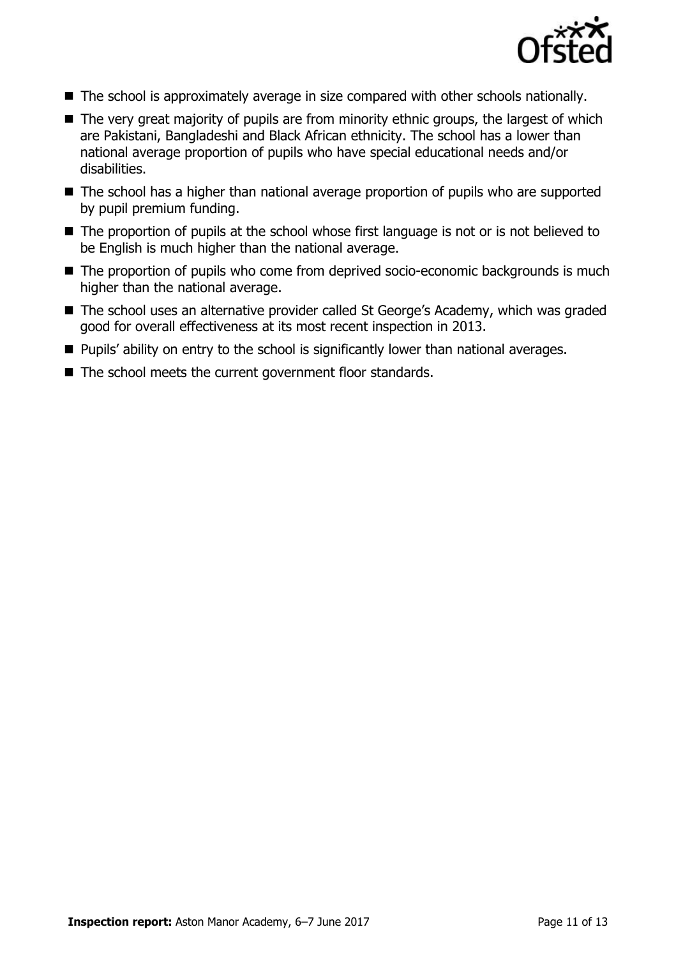

- The school is approximately average in size compared with other schools nationally.
- The very great majority of pupils are from minority ethnic groups, the largest of which are Pakistani, Bangladeshi and Black African ethnicity. The school has a lower than national average proportion of pupils who have special educational needs and/or disabilities.
- The school has a higher than national average proportion of pupils who are supported by pupil premium funding.
- The proportion of pupils at the school whose first language is not or is not believed to be English is much higher than the national average.
- The proportion of pupils who come from deprived socio-economic backgrounds is much higher than the national average.
- The school uses an alternative provider called St George's Academy, which was graded good for overall effectiveness at its most recent inspection in 2013.
- **Pupils' ability on entry to the school is significantly lower than national averages.**
- The school meets the current government floor standards.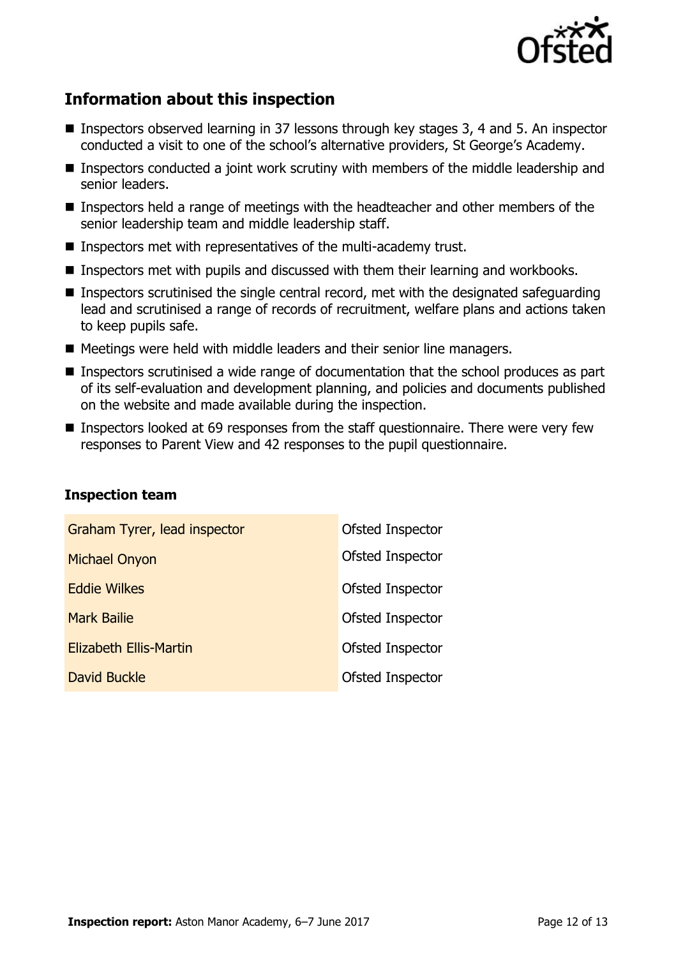

# **Information about this inspection**

- Inspectors observed learning in 37 lessons through key stages 3, 4 and 5. An inspector conducted a visit to one of the school's alternative providers, St George's Academy.
- **Inspectors conducted a joint work scrutiny with members of the middle leadership and** senior leaders.
- **Inspectors held a range of meetings with the headteacher and other members of the** senior leadership team and middle leadership staff.
- Inspectors met with representatives of the multi-academy trust.
- **Inspectors met with pupils and discussed with them their learning and workbooks.**
- Inspectors scrutinised the single central record, met with the designated safeguarding lead and scrutinised a range of records of recruitment, welfare plans and actions taken to keep pupils safe.
- Meetings were held with middle leaders and their senior line managers.
- Inspectors scrutinised a wide range of documentation that the school produces as part of its self-evaluation and development planning, and policies and documents published on the website and made available during the inspection.
- Inspectors looked at 69 responses from the staff questionnaire. There were very few responses to Parent View and 42 responses to the pupil questionnaire.

| Graham Tyrer, lead inspector  | Ofsted Inspector |
|-------------------------------|------------------|
| <b>Michael Onyon</b>          | Ofsted Inspector |
| <b>Eddie Wilkes</b>           | Ofsted Inspector |
| <b>Mark Bailie</b>            | Ofsted Inspector |
| <b>Elizabeth Ellis-Martin</b> | Ofsted Inspector |
| <b>David Buckle</b>           | Ofsted Inspector |

#### **Inspection team**